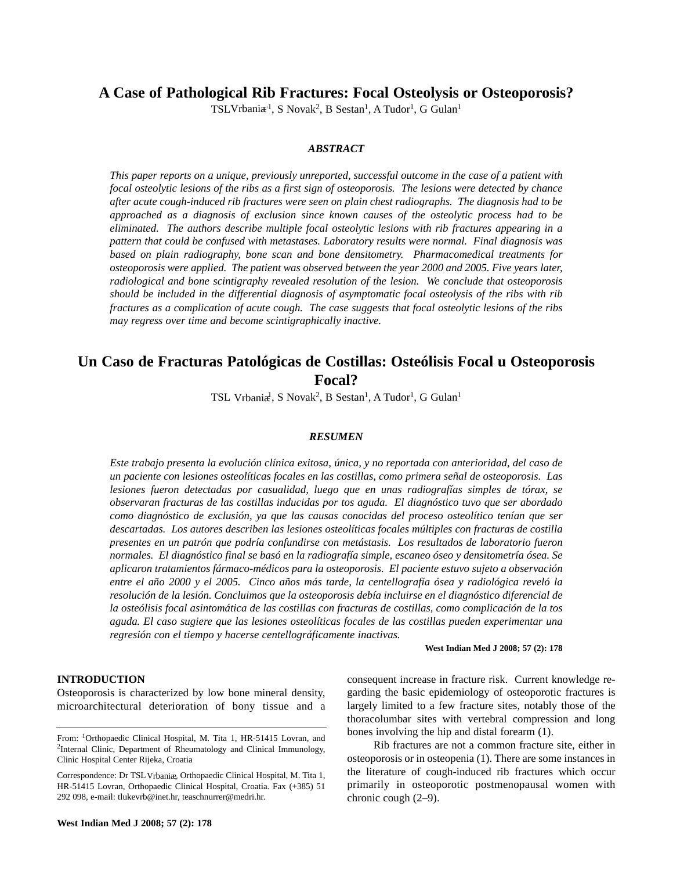**A Case of Pathological Rib Fractures: Focal Osteolysis or Osteoporosis?**

TSL Vrbani $\pi$ <sup>1</sup>, S Novak<sup>2</sup>, B Sestan<sup>1</sup>, A Tudor<sup>1</sup>, G Gulan<sup>1</sup>

## *ABSTRACT*

*This paper reports on a unique, previously unreported, successful outcome in the case of a patient with focal osteolytic lesions of the ribs as a first sign of osteoporosis. The lesions were detected by chance after acute cough-induced rib fractures were seen on plain chest radiographs. The diagnosis had to be approached as a diagnosis of exclusion since known causes of the osteolytic process had to be eliminated. The authors describe multiple focal osteolytic lesions with rib fractures appearing in a pattern that could be confused with metastases. Laboratory results were normal. Final diagnosis was based on plain radiography, bone scan and bone densitometry. Pharmacomedical treatments for osteoporosis were applied. The patient was observed between the year 2000 and 2005. Five years later, radiological and bone scintigraphy revealed resolution of the lesion. We conclude that osteoporosis should be included in the differential diagnosis of asymptomatic focal osteolysis of the ribs with rib fractures as a complication of acute cough. The case suggests that focal osteolytic lesions of the ribs may regress over time and become scintigraphically inactive.*

# **Un Caso de Fracturas Patológicas de Costillas: Osteólisis Focal u Osteoporosis Focal?**

TSL Vrbaniæ<sup>1</sup>, S Novak<sup>2</sup>, B Sestan<sup>1</sup>, A Tudor<sup>1</sup>, G Gulan<sup>1</sup>

### *RESUMEN*

*Este trabajo presenta la evolución clínica exitosa, única, y no reportada con anterioridad, del caso de un paciente con lesiones osteolíticas focales en las costillas, como primera señal de osteoporosis. Las lesiones fueron detectadas por casualidad, luego que en unas radiografías simples de tórax, se observaran fracturas de las costillas inducidas por tos aguda. El diagnóstico tuvo que ser abordado como diagnóstico de exclusión, ya que las causas conocidas del proceso osteolítico tenían que ser descartadas. Los autores describen las lesiones osteolíticas focales múltiples con fracturas de costilla presentes en un patrón que podría confundirse con metástasis. Los resultados de laboratorio fueron normales. El diagnóstico final se basó en la radiografía simple, escaneo óseo y densitometría ósea. Se aplicaron tratamientos fármaco-médicos para la osteoporosis. El paciente estuvo sujeto a observación entre el año 2000 y el 2005. Cinco años más tarde, la centellografía ósea y radiológica reveló la resolución de la lesión. Concluimos que la osteoporosis debía incluirse en el diagnóstico diferencial de la osteólisis focal asintomática de las costillas con fracturas de costillas, como complicación de la tos aguda. El caso sugiere que las lesiones osteolíticas focales de las costillas pueden experimentar una regresión con el tiempo y hacerse centellográficamente inactivas.*

**West Indian Med J 2008; 57 (2): 178**

#### **INTRODUCTION**

Osteoporosis is characterized by low bone mineral density, microarchitectural deterioration of bony tissue and a

consequent increase in fracture risk. Current knowledge regarding the basic epidemiology of osteoporotic fractures is largely limited to a few fracture sites, notably those of the thoracolumbar sites with vertebral compression and long bones involving the hip and distal forearm (1).

Rib fractures are not a common fracture site, either in osteoporosis or in osteopenia (1). There are some instances in the literature of cough-induced rib fractures which occur primarily in osteoporotic postmenopausal women with chronic cough (2–9).

From: 1Orthopaedic Clinical Hospital, M. Tita 1, HR-51415 Lovran, and <sup>2</sup>Internal Clinic, Department of Rheumatology and Clinical Immunology, Clinic Hospital Center Rijeka, Croatia

Correspondence: Dr TSL Vrbaniæ, Orthopaedic Clinical Hospital, M. Tita 1, HR-51415 Lovran, Orthopaedic Clinical Hospital, Croatia. Fax (+385) 51 292 098, e-mail: tlukevrb@inet.hr, teaschnurrer@medri.hr.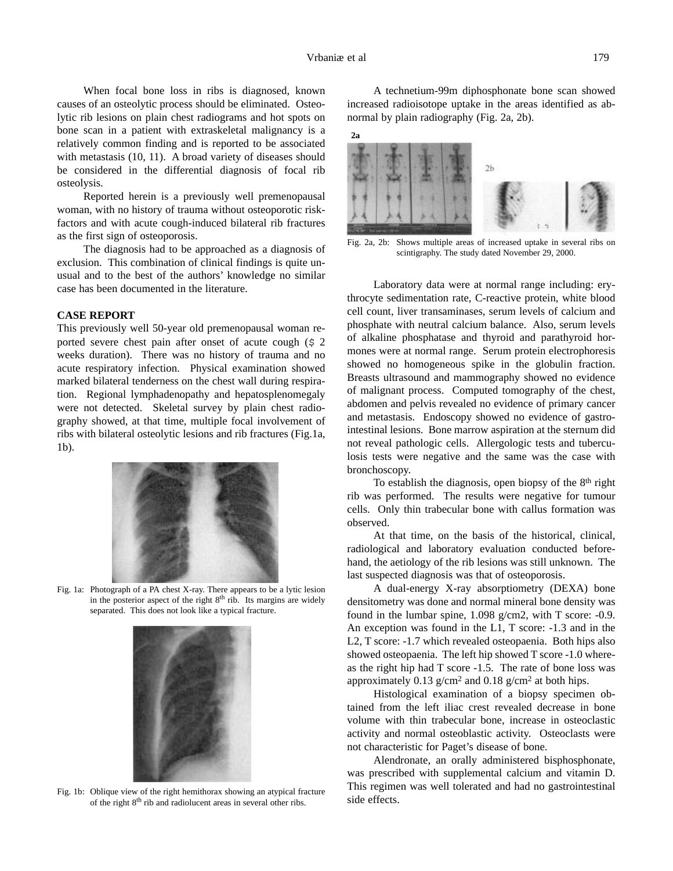When focal bone loss in ribs is diagnosed, known causes of an osteolytic process should be eliminated. Osteolytic rib lesions on plain chest radiograms and hot spots on bone scan in a patient with extraskeletal malignancy is a relatively common finding and is reported to be associated with metastasis (10, 11). A broad variety of diseases should be considered in the differential diagnosis of focal rib osteolysis.

Reported herein is a previously well premenopausal woman, with no history of trauma without osteoporotic riskfactors and with acute cough-induced bilateral rib fractures as the first sign of osteoporosis.

The diagnosis had to be approached as a diagnosis of exclusion. This combination of clinical findings is quite unusual and to the best of the authors' knowledge no similar case has been documented in the literature.

## **CASE REPORT**

This previously well 50-year old premenopausal woman reported severe chest pain after onset of acute cough (\$ 2 weeks duration). There was no history of trauma and no acute respiratory infection. Physical examination showed marked bilateral tenderness on the chest wall during respiration. Regional lymphadenopathy and hepatosplenomegaly were not detected. Skeletal survey by plain chest radiography showed, at that time, multiple focal involvement of ribs with bilateral osteolytic lesions and rib fractures (Fig.1a, 1b).



Fig. 1a: Photograph of a PA chest X-ray. There appears to be a lytic lesion in the posterior aspect of the right  $8<sup>th</sup>$  rib. Its margins are widely separated. This does not look like a typical fracture.



Fig. 1b: Oblique view of the right hemithorax showing an atypical fracture of the right 8th rib and radiolucent areas in several other ribs.

A technetium-99m diphosphonate bone scan showed increased radioisotope uptake in the areas identified as abnormal by plain radiography (Fig. 2a, 2b).

## **2a**



Fig. 2a, 2b: Shows multiple areas of increased uptake in several ribs on scintigraphy. The study dated November 29, 2000.

Laboratory data were at normal range including: erythrocyte sedimentation rate, C-reactive protein, white blood cell count, liver transaminases, serum levels of calcium and phosphate with neutral calcium balance. Also, serum levels of alkaline phosphatase and thyroid and parathyroid hormones were at normal range. Serum protein electrophoresis showed no homogeneous spike in the globulin fraction. Breasts ultrasound and mammography showed no evidence of malignant process. Computed tomography of the chest, abdomen and pelvis revealed no evidence of primary cancer and metastasis. Endoscopy showed no evidence of gastrointestinal lesions. Bone marrow aspiration at the sternum did not reveal pathologic cells. Allergologic tests and tuberculosis tests were negative and the same was the case with bronchoscopy.

To establish the diagnosis, open biopsy of the 8th right rib was performed. The results were negative for tumour cells. Only thin trabecular bone with callus formation was observed.

At that time, on the basis of the historical, clinical, radiological and laboratory evaluation conducted beforehand, the aetiology of the rib lesions was still unknown. The last suspected diagnosis was that of osteoporosis.

A dual-energy X-ray absorptiometry (DEXA) bone densitometry was done and normal mineral bone density was found in the lumbar spine, 1.098 g/cm2, with T score: -0.9. An exception was found in the L1, T score: -1.3 and in the L2, T score: -1.7 which revealed osteopaenia. Both hips also showed osteopaenia. The left hip showed T score -1.0 whereas the right hip had T score -1.5. The rate of bone loss was approximately 0.13  $g/cm<sup>2</sup>$  and 0.18  $g/cm<sup>2</sup>$  at both hips.

Histological examination of a biopsy specimen obtained from the left iliac crest revealed decrease in bone volume with thin trabecular bone, increase in osteoclastic activity and normal osteoblastic activity. Osteoclasts were not characteristic for Paget's disease of bone.

Alendronate, an orally administered bisphosphonate, was prescribed with supplemental calcium and vitamin D. This regimen was well tolerated and had no gastrointestinal side effects.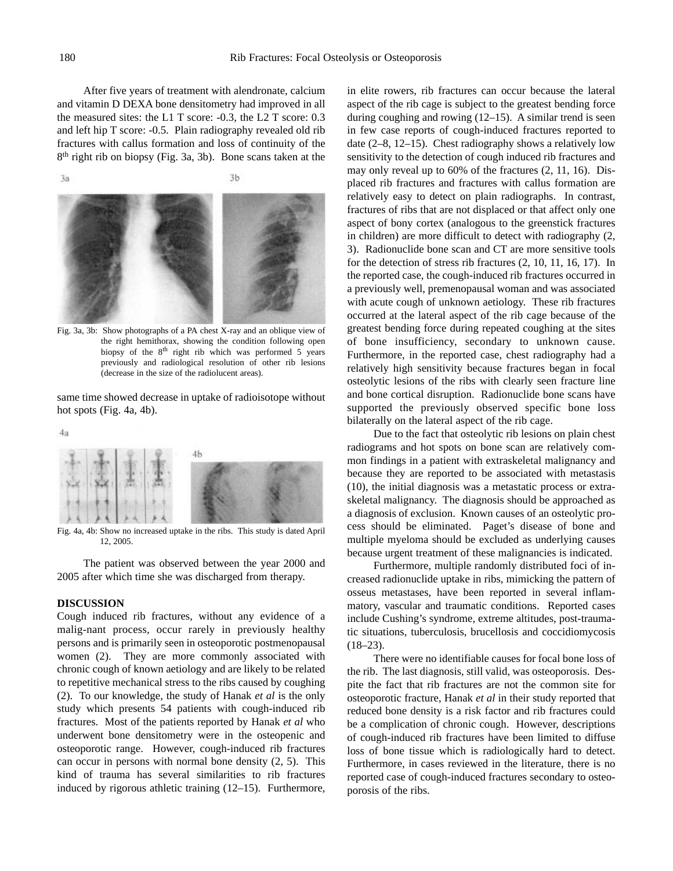After five years of treatment with alendronate, calcium and vitamin D DEXA bone densitometry had improved in all the measured sites: the L1 T score: -0.3, the L2 T score: 0.3 and left hip T score: -0.5. Plain radiography revealed old rib fractures with callus formation and loss of continuity of the 8th right rib on biopsy (Fig. 3a, 3b). Bone scans taken at the

 $3<sub>b</sub>$ 3a

Fig. 3a, 3b: Show photographs of a PA chest X-ray and an oblique view of the right hemithorax, showing the condition following open biopsy of the 8<sup>th</sup> right rib which was performed 5 years previously and radiological resolution of other rib lesions (decrease in the size of the radiolucent areas).

same time showed decrease in uptake of radioisotope without hot spots (Fig. 4a, 4b).



Fig. 4a, 4b: Show no increased uptake in the ribs. This study is dated April 12, 2005.

The patient was observed between the year 2000 and 2005 after which time she was discharged from therapy.

#### **DISCUSSION**

Cough induced rib fractures, without any evidence of a malig-nant process, occur rarely in previously healthy persons and is primarily seen in osteoporotic postmenopausal women (2). They are more commonly associated with chronic cough of known aetiology and are likely to be related to repetitive mechanical stress to the ribs caused by coughing (2). To our knowledge, the study of Hanak *et al* is the only study which presents 54 patients with cough-induced rib fractures. Most of the patients reported by Hanak *et al* who underwent bone densitometry were in the osteopenic and osteoporotic range. However, cough-induced rib fractures can occur in persons with normal bone density (2, 5). This kind of trauma has several similarities to rib fractures induced by rigorous athletic training (12–15). Furthermore, in elite rowers, rib fractures can occur because the lateral aspect of the rib cage is subject to the greatest bending force during coughing and rowing (12–15). A similar trend is seen in few case reports of cough-induced fractures reported to date (2–8, 12–15). Chest radiography shows a relatively low sensitivity to the detection of cough induced rib fractures and may only reveal up to 60% of the fractures (2, 11, 16). Displaced rib fractures and fractures with callus formation are relatively easy to detect on plain radiographs. In contrast, fractures of ribs that are not displaced or that affect only one aspect of bony cortex (analogous to the greenstick fractures in children) are more difficult to detect with radiography (2, 3). Radionuclide bone scan and CT are more sensitive tools for the detection of stress rib fractures (2, 10, 11, 16, 17). In the reported case, the cough-induced rib fractures occurred in a previously well, premenopausal woman and was associated with acute cough of unknown aetiology. These rib fractures occurred at the lateral aspect of the rib cage because of the greatest bending force during repeated coughing at the sites of bone insufficiency, secondary to unknown cause. Furthermore, in the reported case, chest radiography had a relatively high sensitivity because fractures began in focal osteolytic lesions of the ribs with clearly seen fracture line and bone cortical disruption. Radionuclide bone scans have supported the previously observed specific bone loss bilaterally on the lateral aspect of the rib cage.

Due to the fact that osteolytic rib lesions on plain chest radiograms and hot spots on bone scan are relatively common findings in a patient with extraskeletal malignancy and because they are reported to be associated with metastasis (10), the initial diagnosis was a metastatic process or extraskeletal malignancy. The diagnosis should be approached as a diagnosis of exclusion. Known causes of an osteolytic process should be eliminated. Paget's disease of bone and multiple myeloma should be excluded as underlying causes because urgent treatment of these malignancies is indicated.

Furthermore, multiple randomly distributed foci of increased radionuclide uptake in ribs, mimicking the pattern of osseus metastases, have been reported in several inflammatory, vascular and traumatic conditions. Reported cases include Cushing's syndrome, extreme altitudes, post-traumatic situations, tuberculosis, brucellosis and coccidiomycosis  $(18-23)$ .

There were no identifiable causes for focal bone loss of the rib. The last diagnosis, still valid, was osteoporosis. Despite the fact that rib fractures are not the common site for osteoporotic fracture, Hanak *et al* in their study reported that reduced bone density is a risk factor and rib fractures could be a complication of chronic cough. However, descriptions of cough-induced rib fractures have been limited to diffuse loss of bone tissue which is radiologically hard to detect. Furthermore, in cases reviewed in the literature, there is no reported case of cough-induced fractures secondary to osteoporosis of the ribs.